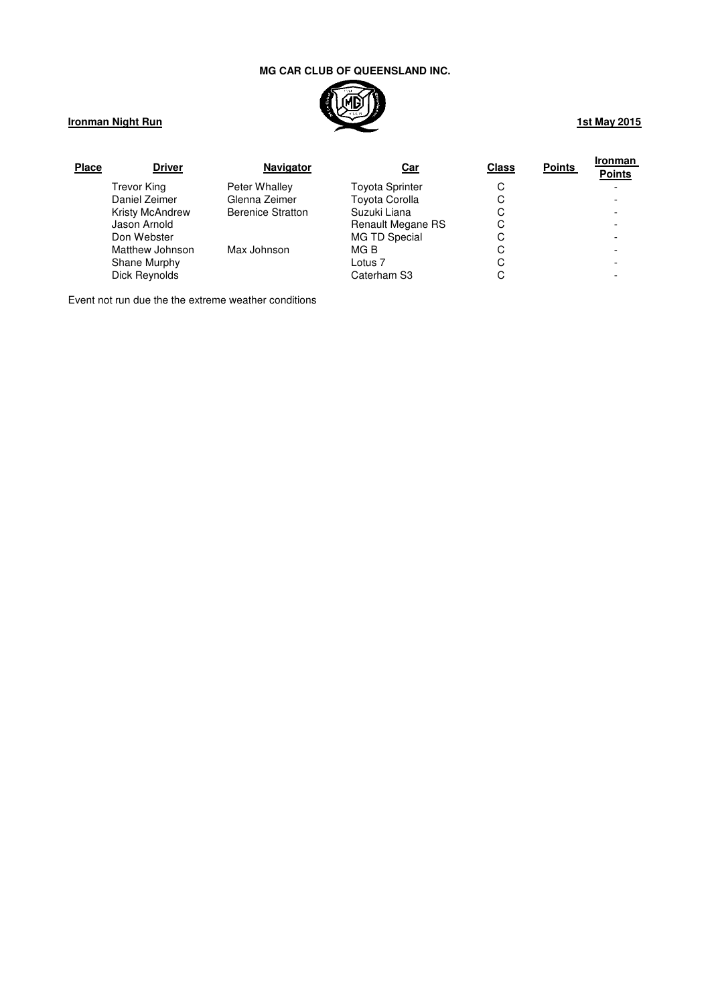

# **Ironman Night Run**

| <b>Place</b> | <b>Driver</b>          | <b>Navigator</b>         | <u>Car</u>               | <b>Class</b> | <b>Points</b> | <b>Ironman</b><br><b>Points</b> |
|--------------|------------------------|--------------------------|--------------------------|--------------|---------------|---------------------------------|
|              | Trevor King            | Peter Whalley            | <b>Toyota Sprinter</b>   | С            |               |                                 |
|              | Daniel Zeimer          | Glenna Zeimer            | <b>Toyota Corolla</b>    | С            |               |                                 |
|              | <b>Kristy McAndrew</b> | <b>Berenice Stratton</b> | Suzuki Liana             | С            |               |                                 |
|              | Jason Arnold           |                          | <b>Renault Megane RS</b> | С            |               |                                 |
|              | Don Webster            |                          | <b>MG TD Special</b>     | С            |               |                                 |
|              | Matthew Johnson        | Max Johnson              | MG B                     | С            |               |                                 |
|              | Shane Murphy           |                          | Lotus <sub>7</sub>       | С            |               |                                 |
|              | Dick Reynolds          |                          | Caterham S3              | С            |               |                                 |

Event not run due the the extreme weather conditions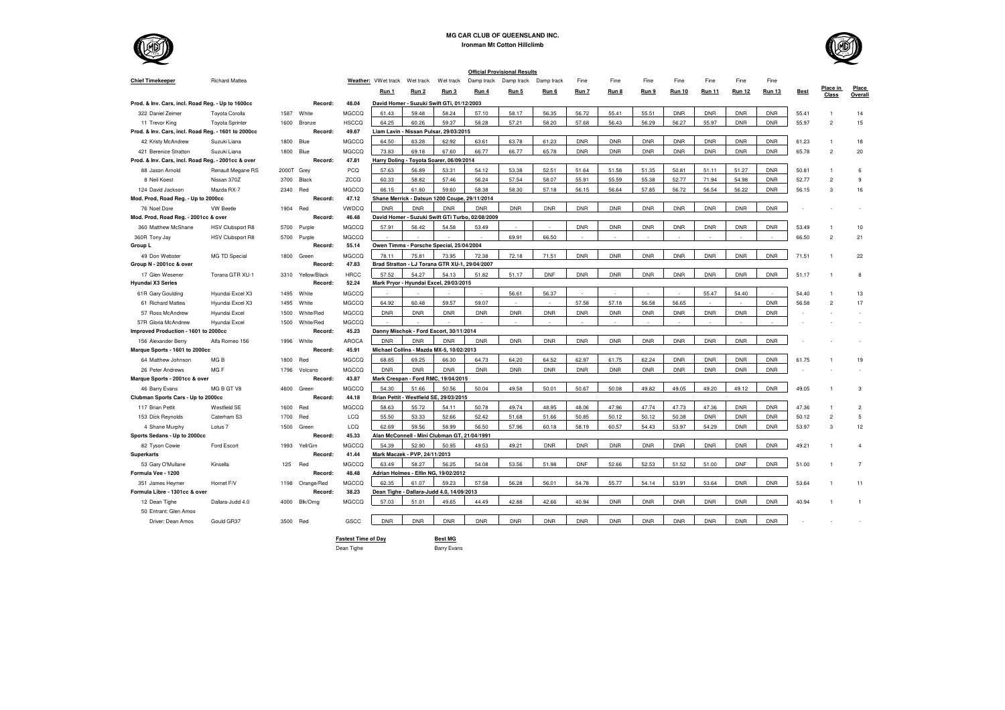

**Ironman Mt Cotton Hillclimb**

|                                                     |                         |       |                 |              |                                            |                                                |            |                                                  | <b>Official Provisional Results</b> |            |            |            |            |               |               |               |               |             |                          |                  |
|-----------------------------------------------------|-------------------------|-------|-----------------|--------------|--------------------------------------------|------------------------------------------------|------------|--------------------------------------------------|-------------------------------------|------------|------------|------------|------------|---------------|---------------|---------------|---------------|-------------|--------------------------|------------------|
| <b>Chief Timekeeper</b>                             | <b>Richard Mattea</b>   |       |                 |              | Weather: VWet track                        | Wet track                                      | Wet track  | Damp track                                       | Damp track                          | Damp track | Fine       | Fine       | Fine       | Fine          | Fine          | Fine          | Fine          |             |                          |                  |
|                                                     |                         |       |                 |              | Run 1                                      | Run <sub>2</sub>                               | Run 3      | Run 4                                            | Run 5                               | Run 6      | Run 7      | Run 8      | Run 9      | <b>Run 10</b> | <b>Run 11</b> | <b>Run 12</b> | <b>Run 13</b> | <b>Best</b> | Place in<br><b>Class</b> | Place<br>Overall |
| Prod. & Inv. Cars, incl. Road Reg. - Up to 1600cc   |                         |       | Record:         | 48.04        | David Homer - Suzuki Swift GTi, 01/12/2003 |                                                |            |                                                  |                                     |            |            |            |            |               |               |               |               |             |                          |                  |
| 322 Daniel Zeimer                                   | Toyota Corolla          | 1587  | White           | MGCCQ        | 61.43                                      | 59.48                                          | 58.24      | 57.10                                            | 58.17                               | 56.35      | 56.72      | 55.41      | 55.51      | <b>DNR</b>    | <b>DNR</b>    | <b>DNR</b>    | <b>DNR</b>    | 55.41       |                          | 14               |
| 11 Trevor King                                      | <b>Toyota Sprinter</b>  | 1600  | Bronze          | <b>HSCCO</b> | 64.25                                      | 60.26                                          | 59.37      | 58.28                                            | 57.21                               | 58.20      | 57.68      | 56.43      | 56.29      | 56.27         | 55.97         | <b>DNR</b>    | <b>DNR</b>    | 55.97       | $\overline{2}$           | 15               |
| Prod. & Inv. Cars, incl. Road Reg. - 1601 to 2000cc |                         |       | Record:         | 49.67        | Liam Lavin                                 | - Nissan Pulsar, 29/03/2015                    |            |                                                  |                                     |            |            |            |            |               |               |               |               |             |                          |                  |
| 42 Kristy McAndrew                                  | Suzuki Liana            | 1800  | Blue            | MGCCQ        | 64.50                                      | 63.28                                          | 62.92      | 63.61                                            | 63.78                               | 61.23      | <b>DNR</b> | <b>DNR</b> | <b>DNR</b> | <b>DNR</b>    | <b>DNR</b>    | <b>DNR</b>    | <b>DNR</b>    | 61.23       |                          | 18               |
| 421 Berenice Stratton                               | Suzuki Liana            | 1800  | Blue            | MGCCQ        | 73.83                                      | 69.18                                          | 67.60      | 66.77                                            | 66.77                               | 65.78      | <b>DNR</b> | <b>DNR</b> | <b>DNR</b> | <b>DNR</b>    | <b>DNR</b>    | <b>DNR</b>    | <b>DNR</b>    | 65.78       | $\overline{2}$           | 20               |
| Prod. & Inv. Cars, incl. Road Reg. - 2001cc & over  |                         |       | Record:         | 47.81        | <b>Harry Doling</b>                        | - Toyota Soarer, 06/09/2014                    |            |                                                  |                                     |            |            |            |            |               |               |               |               |             |                          |                  |
| 88 Jason Amold                                      | Renault Megane RS       | 2000T | Grey            | PCQ          | 57.63                                      | 56.89                                          | 53.31      | 54.12                                            | 53.38                               | 52.51      | 51.64      | 51.58      | 51.35      | 50.81         | 51.11         | 51.27         | <b>DNR</b>    | 50.81       |                          | 6                |
| 8 Neil Koest                                        | Nissan 370Z             | 3700  | Black           | ZCCQ         | 60.33                                      | 58.82                                          | 57.46      | 56.24                                            | 57.54                               | 58.07      | 55.91      | 55.59      | 55.38      | 52.77         | 71.94         | 54.98         | <b>DNR</b>    | 52.77       | $\mathfrak{p}$           | 9                |
| 124 David Jackson                                   | Mazda RX-7              | 2340  | Red             | MGCCQ        | 66.15                                      | 61.80                                          | 59.60      | 58.38                                            | 58.30                               | 57.18      | 56.15      | 56.64      | 57.85      | 56.72         | 56.54         | 56.22         | <b>DNR</b>    | 56.15       | 3                        | 16               |
| Mod. Prod, Road Reg. - Up to 2000cc                 |                         |       | Record:         | 47.12        |                                            | Shane Merrick - Datsun 1200 Coupe, 29/11/2014  |            |                                                  |                                     |            |            |            |            |               |               |               |               |             |                          |                  |
| 76 Noel Dore                                        | <b>VW Beetle</b>        | 1904  | Red             | <b>VWDCQ</b> | <b>DNR</b>                                 | <b>DNR</b>                                     | <b>DNR</b> | <b>DNR</b>                                       | <b>DNR</b>                          | <b>DNR</b> | <b>DNR</b> | <b>DNR</b> | <b>DNR</b> | <b>DNR</b>    | <b>DNR</b>    | <b>DNR</b>    | <b>DNR</b>    |             |                          |                  |
| Mod. Prod, Road Reg. - 2001cc & over                |                         |       | Record:         | 46.48        |                                            |                                                |            | David Homer - Suzuki Swift GTi Turbo, 02/08/2009 |                                     |            |            |            |            |               |               |               |               |             |                          |                  |
| 360 Matthew McShane                                 | <b>HSV Clubsport R8</b> | 5700  | Purple          | MGCCQ        | 57.91                                      | 56.42                                          | 54.58      | 53.49                                            |                                     |            | <b>DNR</b> | <b>DNR</b> | <b>DNR</b> | <b>DNR</b>    | <b>DNR</b>    | <b>DNR</b>    | <b>DNR</b>    | 53.49       |                          | 10               |
| 360R Tony Jay                                       | <b>HSV Clubsport R8</b> | 5700  | Purple          | MGCCQ        |                                            |                                                |            |                                                  | 69.91                               | 66.50      |            |            |            |               |               |               |               | 66.50       | $\mathfrak{p}$           | 21               |
| Group L                                             |                         |       | Record:         | 55.14        |                                            | Owen Timms - Porsche Special, 25/04/2004       |            |                                                  |                                     |            |            |            |            |               |               |               |               |             |                          |                  |
| 49 Don Webster                                      | <b>MG TD Special</b>    | 1800  | Green           | MGCCQ        | 78.11                                      | 75.81                                          | 73.95      | 72.38                                            | 72.18                               | 71.51      | <b>DNR</b> | <b>DNR</b> | <b>DNR</b> | <b>DNR</b>    | <b>DNR</b>    | <b>DNR</b>    | <b>DNR</b>    | 71.51       |                          | 22               |
| Group N - 2001cc & over                             |                         |       | Record:         | 47.83        |                                            | Brad Stratton - LJ Torana GTR XU-1, 29/04/2007 |            |                                                  |                                     |            |            |            |            |               |               |               |               |             |                          |                  |
| 17 Glen Wesener                                     | Torana GTR XU-1         | 3310  | Yellow/Black    | <b>HRCC</b>  | 57.52                                      | 54.27                                          | 54.13      | 51.82                                            | 51.17                               | <b>DNF</b> | <b>DNR</b> | <b>DNR</b> | <b>DNR</b> | <b>DNR</b>    | <b>DNR</b>    | <b>DNR</b>    | <b>DNR</b>    | 51.17       |                          | 8                |
| Hyundai X3 Series                                   |                         |       | Record:         | 52.24        |                                            | Mark Pryor - Hyundai Excel, 29/03/2015         |            |                                                  |                                     |            |            |            |            |               |               |               |               |             |                          |                  |
| 61R Gary Goulding                                   | Hyundai Excel X3        | 1495  | White           | MGCCQ        |                                            |                                                |            |                                                  | 56.61                               | 56.37      |            |            |            |               | 55.47         | 54.40         |               | 54.40       |                          | 13               |
| 61 Richard Mattea                                   | Hyundai Excel X3        | 1495  | White           | MGCCQ        | 64.92                                      | 60.48                                          | 59.57      | 59.07                                            |                                     |            | 57.58      | 57.18      | 56.58      | 56.65         |               |               | <b>DNR</b>    | 56.58       | $\overline{c}$           | 17               |
| 57 Ross McAndrew                                    | Hyundai Excel           | 1500  | White/Red       | MGCCQ        | <b>DNR</b>                                 | <b>DNR</b>                                     | <b>DNR</b> | <b>DNR</b>                                       | <b>DNR</b>                          | <b>DNR</b> | <b>DNR</b> | <b>DNR</b> | <b>DNR</b> | <b>DNR</b>    | <b>DNR</b>    | <b>DNR</b>    | <b>DNR</b>    |             |                          |                  |
| 57R Gloria McAndrew                                 | Hyundai Excel           | 1500  | White/Red       | MGCCQ        |                                            |                                                |            |                                                  |                                     |            |            |            |            |               |               |               |               |             |                          |                  |
| Improved Production - 1601 to 2000cc                |                         |       | Record:         | 45.23        |                                            | Danny Mischok - Ford Escort, 30/11/2014        |            |                                                  |                                     |            |            |            |            |               |               |               |               |             |                          |                  |
| 156 Alexander Berry                                 | Alfa Romeo 156          |       | 1996 White      | AROCA        | <b>DNR</b>                                 | <b>DNR</b>                                     | <b>DNR</b> | <b>DNR</b>                                       | <b>DNR</b>                          | <b>DNR</b> | <b>DNR</b> | <b>DNR</b> | <b>DNR</b> | <b>DNR</b>    | <b>DNR</b>    | <b>DNR</b>    | <b>DNR</b>    |             |                          |                  |
| Marque Sports - 1601 to 2000cc                      |                         |       | Record:         | 45.91        | Michael Collins - Mazda MX-5, 10/02/2013   |                                                |            |                                                  |                                     |            |            |            |            |               |               |               |               |             |                          |                  |
| 64 Matthew Johnson                                  | MG <sub>B</sub>         | 1800  | Red             | MGCCQ        | 68.85                                      | 69.25                                          | 66.30      | 64.73                                            | 64.20                               | 64.52      | 62.97      | 61.75      | 62.24      | <b>DNR</b>    | <b>DNR</b>    | <b>DNR</b>    | <b>DNR</b>    | 61.75       |                          | 19               |
| 26 Peter Andrews                                    | MG <sub>F</sub>         | 1796  | Volcano         | MGCCQ        | <b>DNR</b>                                 | <b>DNR</b>                                     | <b>DNR</b> | <b>DNR</b>                                       | <b>DNR</b>                          | <b>DNR</b> | <b>DNR</b> | <b>DNR</b> | <b>DNR</b> | <b>DNR</b>    | <b>DNR</b>    | <b>DNR</b>    | <b>DNR</b>    |             |                          |                  |
| Marque Sports - 2001cc & over                       |                         |       | Record:         | 43.87        |                                            | Mark Crespan - Ford RMC, 19/04/2015            |            |                                                  |                                     |            |            |            |            |               |               |               |               |             |                          |                  |
| 46 Barry Evans                                      | MG B GT V8              | 4600  | Green           | MGCCQ        | 54.30                                      | 51.66                                          | 50.56      | 50.04                                            | 49.58                               | 50.01      | 50.67      | 50.08      | 49.82      | 49.05         | 49.20         | 49.12         | <b>DNR</b>    | 49.05       |                          | 3                |
| Clubman Sports Cars - Up to 2000cc                  |                         |       | Record:         | 44.18        |                                            | Brian Pettit - Westfield SE, 29/03/2015        |            |                                                  |                                     |            |            |            |            |               |               |               |               |             |                          |                  |
| 117 Brian Pettit                                    | Westfield SE            | 1600  | Red             | MGCCQ        | 58.63                                      | 55.72                                          | 54.11      | 50.78                                            | 49.74                               | 48.95      | 48.06      | 47.96      | 47.74      | 47.73         | 47.36         | <b>DNR</b>    | <b>DNR</b>    | 47.36       |                          | $\overline{2}$   |
| 153 Dick Reynolds                                   | Caterham S3             | 1700  | Red             | LCQ          | 55.50                                      | 53.33                                          | 52.66      | 52.42                                            | 51.68                               | 51.66      | 50.85      | 50.12      | 50.12      | 50.38         | <b>DNR</b>    | <b>DNR</b>    | <b>DNR</b>    | 50.12       | $\overline{2}$           | 5                |
| 4 Shane Murphy                                      | Lotus <sub>7</sub>      | 1500  | Green           | LCQ          | 62.69                                      | 59.56                                          | 58.99      | 56.50                                            | 57.96                               | 60.18      | 58.19      | 60.57      | 54.43      | 53.97         | 54.29         | <b>DNR</b>    | <b>DNR</b>    | 53.97       | 3                        | 12               |
| Sports Sedans - Up to 2000cc                        |                         |       | Record:         | 45.33        |                                            | Alan McConnell - Mini Clubman GT, 21/04/1991   |            |                                                  |                                     |            |            |            |            |               |               |               |               |             |                          |                  |
| 82 Tyson Cowie                                      | Ford Escort             | 1993  | Yell/Gm         | MGCCQ        | 54.39                                      | 52.90                                          | 50.95      | 49.53                                            | 49.21                               | <b>DNR</b> | <b>DNR</b> | <b>DNR</b> | <b>DNR</b> | <b>DNR</b>    | <b>DNR</b>    | <b>DNR</b>    | <b>DNR</b>    | 49.21       |                          | $\Delta$         |
| <b>Superkarts</b>                                   |                         |       | Record:         | 41.44        |                                            | Mark Maczek - PVP, 24/11/2013                  |            |                                                  |                                     |            |            |            |            |               |               |               |               |             |                          |                  |
| 53 Gary O'Mullane                                   | Kinsella                | 125   | Red             | MGCCQ        | 63.49                                      | 58.27                                          | 56.25      | 54.08                                            | 53.56                               | 51.98      | DNF        | 52.66      | 52.53      | 51.52         | 51.00         | <b>DNF</b>    | <b>DNR</b>    | 51.00       |                          | $\overline{7}$   |
| Formula Vee - 1200                                  |                         |       | Record:         | 48.48        |                                            | Adrian Holmes - Elfin NG, 19/02/2012           |            |                                                  |                                     |            |            |            |            |               |               |               |               |             |                          |                  |
| 351 James Heymer                                    | Homet F/V               |       | 1198 Orange/Red | MGCCQ        | 62.35                                      | 61.07                                          | 59.23      | 57.58                                            | 56.28                               | 56.01      | 54.78      | 55.77      | 54.14      | 53.91         | 53.64         | <b>DNR</b>    | <b>DNR</b>    | 53.64       |                          | 11               |
| Formula Libre - 1301cc & over                       |                         |       | Record:         | 38.23        |                                            | Dean Tighe - Dallara-Judd 4.0, 14/09/2013      |            |                                                  |                                     |            |            |            |            |               |               |               |               |             |                          |                  |
| 12 Dean Tighe                                       | Dallara-Judd 4.0        |       | 4000 Blk/Omg    | MGCCQ        | 57.03                                      | 51.01                                          | 49.65      | 44.49                                            | 42.88                               | 42.66      | 40.94      | <b>DNR</b> | <b>DNR</b> | <b>DNR</b>    | <b>DNR</b>    | <b>DNR</b>    | <b>DNR</b>    | 40.94       |                          | -1               |
| 50 Entrant: Glen Amos                               |                         |       |                 |              |                                            |                                                |            |                                                  |                                     |            |            |            |            |               |               |               |               |             |                          |                  |
| Driver: Dean Amos                                   | Gould GR37              | 3500  | Red             | GSCC         | <b>DNR</b>                                 | <b>DNR</b>                                     | <b>DNR</b> | <b>DNR</b>                                       | <b>DNR</b>                          | <b>DNR</b> | <b>DNR</b> | <b>DNR</b> | <b>DNR</b> | <b>DNR</b>    | <b>DNR</b>    | <b>DNR</b>    | <b>DNR</b>    |             |                          |                  |

**Fastest Time of DayBest MG**

Dean Tighe **Barry Evans**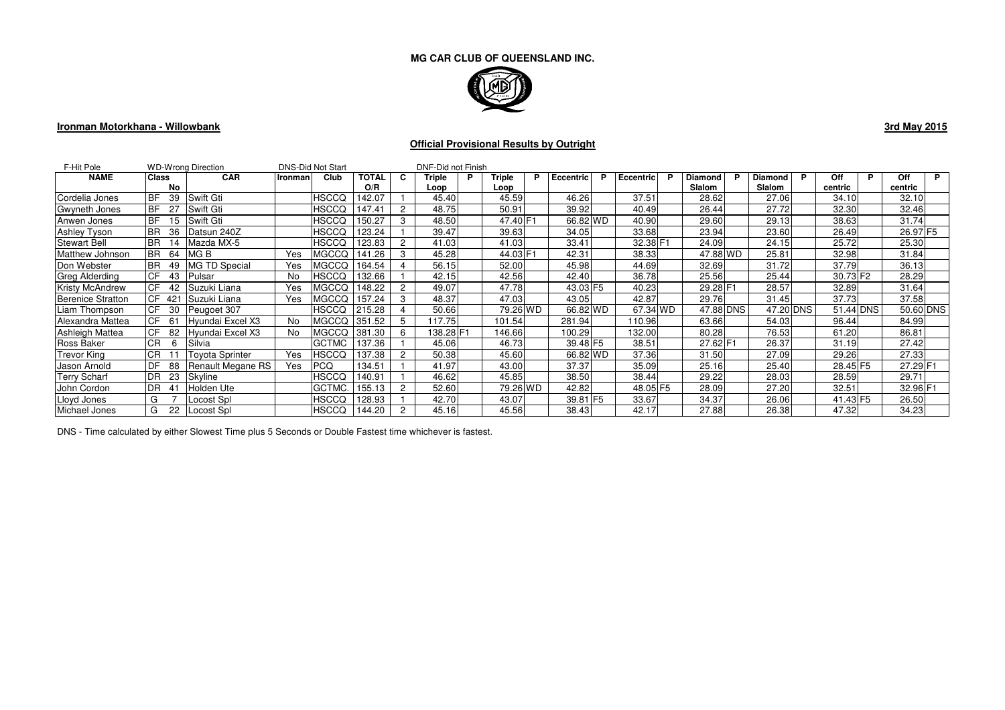

### **Ironman Motorkhana - Willowbank**

**3rd May 2015**

# **Official Provisional Results by Outright**

| F-Hit Pole               |                   | <b>WD-Wrong Direction</b> |         | <b>DNS-Did Not Start</b> |        |    | DNF-Did not Finish |  |          |    |           |   |                       |          |           |           |                      |           |    |
|--------------------------|-------------------|---------------------------|---------|--------------------------|--------|----|--------------------|--|----------|----|-----------|---|-----------------------|----------|-----------|-----------|----------------------|-----------|----|
| <b>NAME</b>              | <b>Class</b>      | <b>CAR</b>                | Ironman | Club                     | TOTAL  | C. | Triple             |  | Triple   | P. | Eccentric | P | <b>Eccentric</b><br>P | Diamond  |           | Diamond   | Off                  | Off       | P. |
|                          | No                |                           |         |                          | O/R    |    | Loop               |  | Loop     |    |           |   |                       | Slalom   |           | Slalom    | centric              | centric   |    |
| Cordelia Jones           | <b>BF</b><br>39   | Swift Gti                 |         | HSCCQ                    | 142.07 |    | 45.40              |  | 45.59    |    | 46.26     |   | 37.51                 | 28.62    |           | 27.06     | 34.10                | 32.10     |    |
| <b>Gwyneth Jones</b>     | <b>BF</b>         | <b>Swift Gti</b>          |         | HSCCQ                    | 147.41 |    | 48.75              |  | 50.91    |    | 39.92     |   | 40.49                 | 26.44    |           | 27.72     | 32.30                | 32.46     |    |
| Anwen Jones              | <b>BF</b><br>15   | Swift Gti                 |         | HSCCQ                    | 150.27 |    | 48.50              |  | 47.40 F1 |    | 66.82 WD  |   | 40.90                 | 29.60    |           | 29.13     | 38.63                | 31.74     |    |
| <b>Ashley Tyson</b>      | <b>BR</b><br>36   | Datsun 240Z               |         | HSCCQ                    | 123.24 |    | 39.47              |  | 39.63    |    | 34.05     |   | 33.68                 | 23.94    |           | 23.60     | 26.49                | 26.97 F5  |    |
| <b>Stewart Bell</b>      | <b>BR</b><br>14   | Mazda MX-5                |         | HSCCQ                    | 123.83 |    | 41.03              |  | 41.03    |    | 33.41     |   | 32.38 F1              | 24.09    |           | 24.15     | 25.72                | 25.30     |    |
| Matthew Johnson          | <b>IBR</b><br>-64 | MG B                      | Yes     | <b>MGCCQ</b>             | 141.26 |    | 45.28              |  | 44.03 F1 |    | 42.31     |   | 38.33                 |          | 47.88 WD  | 25.81     | 32.98                | 31.84     |    |
| Don Webster              | <b>BR</b><br>49   | <b>MG TD Special</b>      | Yes     | MGCCQ                    | 164.54 |    | 56.15              |  | 52.00    |    | 45.98     |   | 44.69                 | 32.69    |           | 31.72     | 37.79                | 36.13     |    |
| Greg Alderding           | <b>CF</b><br>43   | <b>Pulsar</b>             | No      | HSCCQ                    | 132.66 |    | 42.15              |  | 42.56    |    | 42.40     |   | 36.78                 | 25.56    |           | 25.44     | 30.73 F <sub>2</sub> | 28.29     |    |
| <b>Kristy McAndrew</b>   | <b>ICF</b><br>42  | Suzuki Liana              | Yes     | <b>MGCCQ</b>             | 148.22 |    | 49.07              |  | 47.78    |    | 43.03 F5  |   | 40.23                 |          | 29.28 F1  | 28.57     | 32.89                | 31.64     |    |
| <b>Berenice Stratton</b> | CF<br>421         | Suzuki Liana              | Yes     | <b>MGCCQ</b>             | 157.24 |    | 48.37              |  | 47.03    |    | 43.05     |   | 42.87                 | 29.76    |           | 31.45     | 37.73                | 37.58     |    |
| Liam Thompson            | <b>ICF</b><br>30  | Peugoet 307               |         | HSCCQ                    | 215.28 |    | 50.66              |  | 79.26 WD |    | 66.82 WD  |   | 67.34 WD              |          | 47.88 DNS | 47.20 DNS | 51.44 DNS            | 50.60 DNS |    |
| Alexandra Mattea         | ICF.<br>-61       | Hyundai Excel X3          | No      | <b>MGCCQ</b>             | 351.52 | 5  | 117.75             |  | 101.54   |    | 281.94    |   | 110.96                | 63.66    |           | 54.03     | 96.44                | 84.99     |    |
| Ashleigh Mattea          | <b>ICF</b><br>82  | Hyundai Excel X3          | No      | <b>MGCCQ</b>             | 381.30 | 6  | 138.28 F1          |  | 146.66   |    | 100.29    |   | 132.00                | 80.28    |           | 76.53     | 61.20                | 86.81     |    |
| Ross Baker               | <b>CR</b><br>6    | Silvia                    |         | <b>GCTMC</b>             | 137.36 |    | 45.06              |  | 46.73    |    | 39.48 F5  |   | 38.51                 | 27.62 F1 |           | 26.37     | 31.19                | 27.42     |    |
| <b>Trevor King</b>       | CR.               | Tovota Sprinter           | Yes     | <b>HSCCQ</b>             | 137.38 |    | 50.38              |  | 45.60    |    | 66.82 WD  |   | 37.36                 | 31.50    |           | 27.09     | 29.26                | 27.33     |    |
| Jason Arnold             | <b>IDF</b><br>88  | Renault Megane RS         | Yes     | <b>PCQ</b>               | 134.51 |    | 41.97              |  | 43.00    |    | 37.37     |   | 35.09                 | 25.16    |           | 25.40     | 28.45 F5             | 27.29 F1  |    |
| Terry Scharf             | <b>DR</b><br>23   | Skyline                   |         | HSCCQ                    | 140.91 |    | 46.62              |  | 45.85    |    | 38.50     |   | 38.44                 | 29.22    |           | 28.03     | 28.59                | 29.71     |    |
| John Cordon              | <b>DR</b>         | Holden Ute                |         | GCTMC.                   | 155.13 |    | 52.60              |  | 79.26 WD |    | 42.82     |   | 48.05 F5              | 28.09    |           | 27.20     | 32.51                | 32.96 F1  |    |
| Lloyd Jones              | G                 | Locost Spl                |         | HSCCQ                    | 128.93 |    | 42.70              |  | 43.07    |    | 39.81 F5  |   | 33.67                 | 34.37    |           | 26.06     | 41.43 F5             | 26.50     |    |
| Michael Jones            | G<br>22           | Locost Spl                |         | HSCCQ                    | 144.20 |    | 45.16              |  | 45.56    |    | 38.43     |   | 42.17                 | 27.88    |           | 26.38     | 47.32                | 34.23     |    |

DNS - Time calculated by either Slowest Time plus 5 Seconds or Double Fastest time whichever is fastest.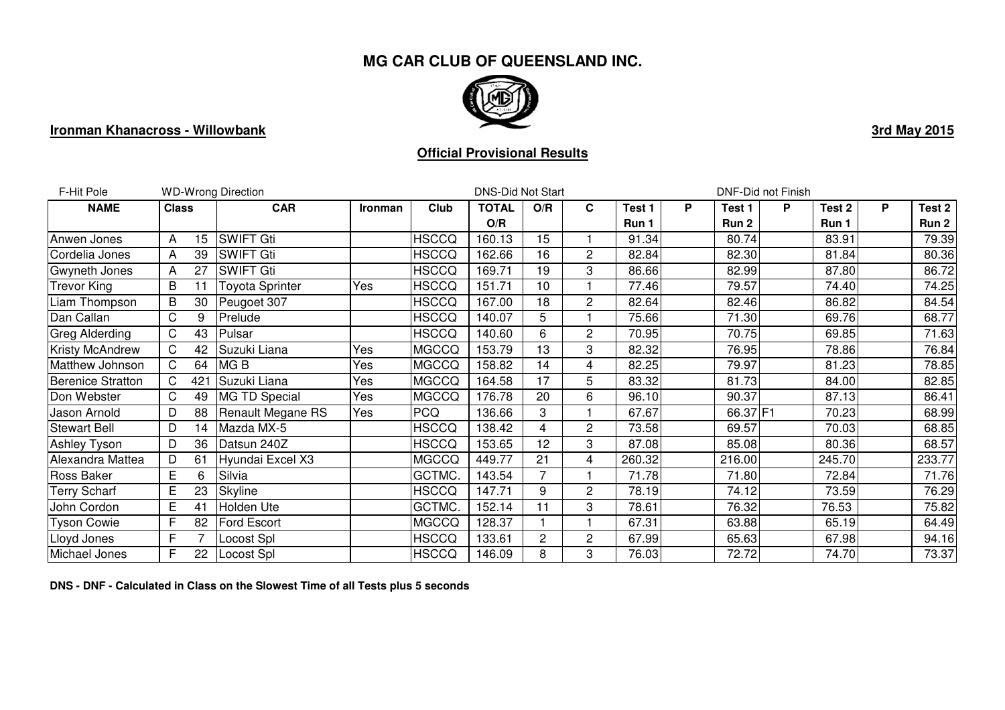

# **Ironman Khanacross - Willowbank**

# **Official Provisional Results**

| F-Hit Pole               |              | <b>WD-Wrong Direction</b> |                    | <b>DNS-Did Not Start</b> |              |              | DNF-Did not Finish |                |        |   |          |   |        |   |        |
|--------------------------|--------------|---------------------------|--------------------|--------------------------|--------------|--------------|--------------------|----------------|--------|---|----------|---|--------|---|--------|
| <b>NAME</b>              | <b>Class</b> |                           | <b>CAR</b>         | Ironman                  | Club         | <b>TOTAL</b> | O/R                | $\mathbf c$    | Test 1 | P | Test 1   | P | Test 2 | P | Test 2 |
|                          |              |                           |                    |                          |              | O/R          |                    |                | Run 1  |   | Run 2    |   | Run 1  |   | Run 2  |
| Anwen Jones              | A            | 15                        | <b>SWIFT Gti</b>   |                          | <b>HSCCQ</b> | 160.13       | 15                 |                | 91.34  |   | 80.74    |   | 83.91  |   | 79.39  |
| Cordelia Jones           | A            | 39                        | <b>SWIFT Gti</b>   |                          | <b>HSCCQ</b> | 162.66       | 16                 | $\overline{c}$ | 82.84  |   | 82.30    |   | 81.84  |   | 80.36  |
| Gwyneth Jones            | A            | 27                        | <b>SWIFT Gti</b>   |                          | <b>HSCCQ</b> | 169.71       | 19                 | 3              | 86.66  |   | 82.99    |   | 87.80  |   | 86.72  |
| <b>Trevor King</b>       | B            | 11                        | Toyota Sprinter    | Yes                      | <b>HSCCQ</b> | 151.71       | 10                 |                | 77.46  |   | 79.57    |   | 74.40  |   | 74.25  |
| Liam Thompson            | B            | 30                        | Peugoet 307        |                          | <b>HSCCQ</b> | 167.00       | 18                 | 2              | 82.64  |   | 82.46    |   | 86.82  |   | 84.54  |
| Dan Callan               | C            | 9                         | Prelude            |                          | <b>HSCCQ</b> | 140.07       | 5                  |                | 75.66  |   | 71.30    |   | 69.76  |   | 68.77  |
| Greg Alderding           | C.           | 43                        | Pulsar             |                          | <b>HSCCQ</b> | 140.60       | 6                  | $\overline{2}$ | 70.95  |   | 70.75    |   | 69.85  |   | 71.63  |
| <b>Kristy McAndrew</b>   | C            | 42                        | Suzuki Liana       | Yes                      | <b>MGCCQ</b> | 153.79       | 13                 | 3              | 82.32  |   | 76.95    |   | 78.86  |   | 76.84  |
| Matthew Johnson          | C            | 64                        | MG <sub>B</sub>    | Yes                      | <b>MGCCQ</b> | 158.82       | 14                 | $\overline{4}$ | 82.25  |   | 79.97    |   | 81.23  |   | 78.85  |
| <b>Berenice Stratton</b> | C.           | 421                       | Suzuki Liana       | Yes                      | <b>MGCCQ</b> | 164.58       | 17                 | 5              | 83.32  |   | 81.73    |   | 84.00  |   | 82.85  |
| Don Webster              | C            | 49                        | MG TD Special      | Yes                      | <b>MGCCQ</b> | 176.78       | 20                 | 6              | 96.10  |   | 90.37    |   | 87.13  |   | 86.41  |
| Jason Arnold             | D            | 88                        | Renault Megane RS  | Yes                      | <b>PCQ</b>   | 136.66       | 3                  |                | 67.67  |   | 66.37 F1 |   | 70.23  |   | 68.99  |
| <b>Stewart Bell</b>      | D            | 14                        | Mazda MX-5         |                          | <b>HSCCQ</b> | 138.42       | 4                  | $\overline{2}$ | 73.58  |   | 69.57    |   | 70.03  |   | 68.85  |
| Ashley Tyson             | D            | 36                        | Datsun 240Z        |                          | <b>HSCCQ</b> | 153.65       | 12                 | 3              | 87.08  |   | 85.08    |   | 80.36  |   | 68.57  |
| Alexandra Mattea         | D            | 61                        | Hyundai Excel X3   |                          | <b>MGCCQ</b> | 449.77       | 21                 | 4              | 260.32 |   | 216.00   |   | 245.70 |   | 233.77 |
| Ross Baker               | E.           | 6                         | Silvia             |                          | GCTMC.       | 143.54       | 7                  |                | 71.78  |   | 71.80    |   | 72.84  |   | 71.76  |
| <b>Terry Scharf</b>      | E            | 23                        | Skyline            |                          | <b>HSCCQ</b> | 147.71       | 9                  | $\overline{c}$ | 78.19  |   | 74.12    |   | 73.59  |   | 76.29  |
| John Cordon              | Е            | 41                        | Holden Ute         |                          | GCTMC.       | 152.14       | 11                 | 3              | 78.61  |   | 76.32    |   | 76.53  |   | 75.82  |
| <b>Tyson Cowie</b>       | F            | 82                        | <b>Ford Escort</b> |                          | <b>MGCCQ</b> | 128.37       |                    |                | 67.31  |   | 63.88    |   | 65.19  |   | 64.49  |
| Lloyd Jones              | F            |                           | Locost Spl         |                          | <b>HSCCQ</b> | 133.61       | 2                  | $\overline{c}$ | 67.99  |   | 65.63    |   | 67.98  |   | 94.16  |
| Michael Jones            | F.           | 22 <sub>2</sub>           | Locost Spl         |                          | <b>HSCCQ</b> | 146.09       | 8                  | 3              | 76.03  |   | 72.72    |   | 74.70  |   | 73.37  |

**DNS - DNF - Calculated in Class on the Slowest Time of all Tests plus 5 seconds**